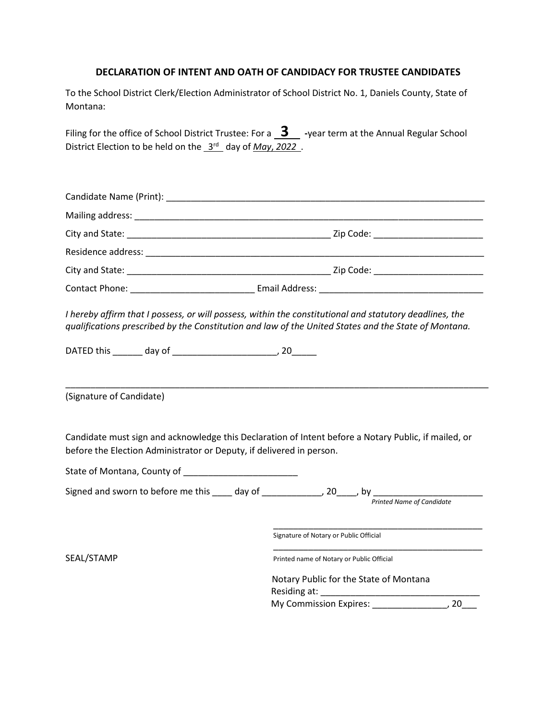## **DECLARATION OF INTENT AND OATH OF CANDIDACY FOR TRUSTEE CANDIDATES**

To the School District Clerk/Election Administrator of School District No. 1, Daniels County, State of Montana:

Filing for the office of School District Trustee: For a **3** -year term at the Annual Regular School District Election to be held on the  $3<sup>rd</sup>$  day of *May*, 2022.

| I hereby affirm that I possess, or will possess, within the constitutional and statutory deadlines, the<br>qualifications prescribed by the Constitution and law of the United States and the State of Montana. |                                                                                                                                         |
|-----------------------------------------------------------------------------------------------------------------------------------------------------------------------------------------------------------------|-----------------------------------------------------------------------------------------------------------------------------------------|
| (Signature of Candidate)                                                                                                                                                                                        |                                                                                                                                         |
| Candidate must sign and acknowledge this Declaration of Intent before a Notary Public, if mailed, or<br>before the Election Administrator or Deputy, if delivered in person.                                    |                                                                                                                                         |
| State of Montana, County of ________________________                                                                                                                                                            |                                                                                                                                         |
|                                                                                                                                                                                                                 | Signed and sworn to before me this ____ day of _____________, 20____, by __________________________<br><b>Printed Name of Candidate</b> |

Signature of Notary or Public Official

SEAL/STAMP Printed name of Notary or Public Official

 Notary Public for the State of Montana Residing at: My Commission Expires: \_\_\_\_\_\_\_\_\_\_\_\_\_\_\_, 20\_\_\_

 $\overline{\phantom{a}}$  ,  $\overline{\phantom{a}}$  ,  $\overline{\phantom{a}}$  ,  $\overline{\phantom{a}}$  ,  $\overline{\phantom{a}}$  ,  $\overline{\phantom{a}}$  ,  $\overline{\phantom{a}}$  ,  $\overline{\phantom{a}}$  ,  $\overline{\phantom{a}}$  ,  $\overline{\phantom{a}}$  ,  $\overline{\phantom{a}}$  ,  $\overline{\phantom{a}}$  ,  $\overline{\phantom{a}}$  ,  $\overline{\phantom{a}}$  ,  $\overline{\phantom{a}}$  ,  $\overline{\phantom{a}}$